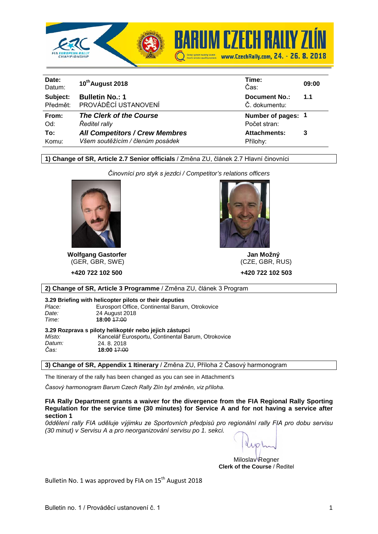



| Date:<br>Datum: | 10 <sup>th</sup> August 2018          | Time:<br>Čas:        | 09:00 |
|-----------------|---------------------------------------|----------------------|-------|
| Subject:        | <b>Bulletin No.: 1</b>                | <b>Document No.:</b> | 1.1   |
| Předmět:        | PROVÁDĚCÍ USTANOVENÍ                  | Č. dokumentu:        |       |
| From:           | The Clerk of the Course               | Number of pages: 1   |       |
| Od:             | Ředitel rally                         | Počet stran:         |       |
| To:             | <b>All Competitors / Crew Membres</b> | <b>Attachments:</b>  | 3     |
| Komu:           | Všem soutěžícím / členům posádek      | Přílohy:             |       |

## **1) Change of SR, Article 2.7 Senior officials** / Změna ZU, článek 2.7 Hlavní činovníci

*Činovníci pro styk s jezdci / Competitor's relations officers*



**Wolfgang Gastorfer Jan Možný** (GER, GBR, SWE)

 **+420 722 102 500 +420 722 102 503**



**2) Change of SR, Article 3 Programme** / Změna ZU, článek 3 Program

## **3.29 Briefing with helicopter pilots or their deputies**

Place: Eurosport Office, Continental Barum, Otrokovice<br>
24 August 2018

 *Date:* 24 August 2018  *Time:* **18:00** 17:00

| 3.29 Rozprava s piloty helikoptér nebo jejich zástupci |                                                    |  |  |  |  |  |  |  |
|--------------------------------------------------------|----------------------------------------------------|--|--|--|--|--|--|--|
| Místo:                                                 | Kancelář Eurosportu, Continental Barum, Otrokovice |  |  |  |  |  |  |  |
| Datum:                                                 | 24.8.2018                                          |  |  |  |  |  |  |  |
| Čas:                                                   | 18:00 <del>17:00</del>                             |  |  |  |  |  |  |  |
|                                                        |                                                    |  |  |  |  |  |  |  |

**3) Change of SR, Appendix 1 Itinerary** / Změna ZU, Příloha 2 Časový harmonogram

The Itinerary of the rally has been changed as you can see in Attachment's

*Časový harmonogram Barum Czech Rally Zlín byl změněn, viz příloha.*

**FIA Rally Department grants a waiver for the divergence from the FIA Regional Rally Sporting Regulation for the service time (30 minutes) for Service A and for not having a service after section 1**

*0ddělení rally FIA uděluje výjimku ze Sportovních předpisů pro regionální rally FIA pro dobu servisu (30 minut) v Servisu A a pro neorganizování servisu po 1. sekci.*

 $100<sub>1</sub>$ 

Miloslav Regner **Clerk of the Course** / Ředitel

Bulletin No. 1 was approved by FIA on  $15<sup>th</sup>$  August 2018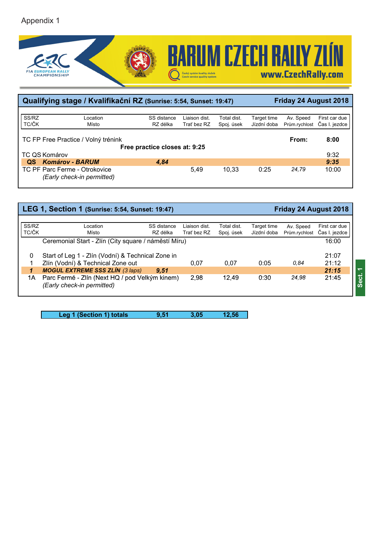

| Qualifying stage / Kvalifikační RZ (Sunrise: 5:54, Sunset: 19:47) |                                                             |                               |               |             |             | Friday 24 August 2018 |               |  |
|-------------------------------------------------------------------|-------------------------------------------------------------|-------------------------------|---------------|-------------|-------------|-----------------------|---------------|--|
|                                                                   |                                                             |                               |               |             |             |                       |               |  |
| SS/RZ                                                             | Location                                                    | SS distance                   | Liaison dist. | Total dist. | Target time | Av. Speed             | First car due |  |
| TC/ČK                                                             | Místo                                                       | RZ délka                      | Trať bez RZ   | Spoj. úsek  | Jízdní doba | Prům.rychlost         | Čas I. jezdce |  |
|                                                                   | TC FP Free Practice / Volný trénink                         | Free practice closes at: 9:25 |               |             |             | From:                 | 8:00          |  |
|                                                                   | TC QS Komárov                                               |                               |               |             |             |                       | 9:32          |  |
| OS.                                                               | <b>Komárov - BARUM</b>                                      | 4.84                          |               |             |             |                       | 9:35          |  |
|                                                                   | TC PF Parc Ferme - Otrokovice<br>(Early check-in permitted) |                               | 5.49          | 10.33       | 0:25        | 24.79                 | 10:00         |  |

| LEG 1, Section 1 (Sunrise: 5:54, Sunset: 19:47) |                                                                                        |                              |                           |                            | Friday 24 August 2018      |                                |
|-------------------------------------------------|----------------------------------------------------------------------------------------|------------------------------|---------------------------|----------------------------|----------------------------|--------------------------------|
| SS/RZ<br>TC/ČK                                  | Location<br>SS distance<br>Místo<br>RZ délka                                           | Liaison dist.<br>Trať bez RZ | Total dist.<br>Spoj. úsek | Target time<br>Jízdní doba | Av. Speed<br>Prům.rychlost | First car due<br>Čas I. jezdce |
|                                                 | Ceremonial Start - Zlín (City square / náměstí Míru)                                   |                              |                           |                            |                            | 16:00                          |
| 0                                               | Start of Leg 1 - Zlín (Vodní) & Technical Zone in<br>Zlín (Vodní) & Technical Zone out | 0.07                         | 0.07                      | 0:05                       | 0.84                       | 21:07<br>21:12                 |
| 1                                               | <b>MOGUL EXTREME SSS ZLÍN (3 laps)</b><br>9.51                                         |                              |                           |                            |                            | 21:15                          |
| 1Α                                              | Parc Fermé - Zlín (Next HQ / pod Velkým kinem)<br>(Early check-in permitted)           | 2.98                         | 12.49                     | 0:30                       | 24.98                      | 21:45                          |

**ct. 1**

**Sect**

Leg 1 (Section 1) totals **9,51** 3,05 12,56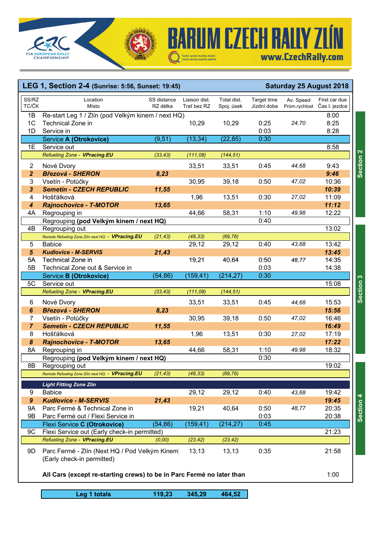



## **LEG 1, Section 2-4 (Sunrise: 5:56, Sunset: 19:45) Saturday 25 August 2018** 1B Re-start Leg 1 / Zlín (pod Velkým kinem / next HQ) 8:00 1C Technical Zone in 10,29 10,29 0:25 *24,70* 8:25 1D Service in 0:03 8:28 Service **A (Otrokovice)** (9,51) (13,34) (22,85) 0:30 1E Service out 8:58 *Refueling Zone - VPracing.EU (33,43) (111,08) (144,51)* 2 Nové Dvory 33,51 33,51 0:45 *44,68* 9:43 *2 Březová - SHERON 8,23 0:03 9:46* 3 Vsetín - Potůčky 30,95 39,18 0:50 *47,02* 10:36 *3 Semetín - CZECH REPUBLIC 11,55 0:03 10:39* 4 Hošťálková 1,96 13,51 0:30 *27,02* 11:09 *4 Rajnochovice - T-MOTOR 13,65 0:03 11:12* 4A Regrouping in 44,66 58,31 1:10 *49,98* 12:22 Regrouping **(pod Velkým kinem / next HQ)** 0:40 4B Regrouping out *0:03* 13:02 *Remote Refueling Zone Zlín next HQ - VPracing.EU (21,43) (48,33) (69,76)* 5 Babice 29,12 29,12 0:40 *43,68* 13:42 *5 Kudlovice - M-SERVIS 21,43 0:03 13:45* 5A Technical Zone in 19,21 40,64 0:50 48,77 14:35 First car due Čas I. jezdce Total dist. Spoj. úsek Target time Jízdní doba SS/RZ TC/ČK Av. Speed Prům.rychlost Location Místo SS distance RZ délka Liaison dist. Trať bez RZ 5B Technical Zone out & Service in 0:03 14:38 Service **B (Otrokovice)** (54,86) (159,41) (214,27) 0:30 5C Service out 15:08 *Refueling Zone - VPracing.EU (33,43) (111,08) (144,51)* 6 Nové Dvory 33,51 33,51 0:45 *44,68* 15:53 *6 Březová - SHERON 8,23 0:03 15:56* 7 Vsetín - Potůčky 30,95 39,18 0:50 *47,02* 16:46 *7 Semetín - CZECH REPUBLIC 11,55 0:03 16:49* 8 Hošťálková 1,96 13,51 0:30 *27,02* 17:19 *8 Rajnochovice - T-MOTOR 13,65 0:03 17:22* 8A Regrouping in 44,66 58,31 1:10 *49,98* 18:32 Regrouping **(pod Velkým kinem / next HQ)** 0:30 8B Regrouping out *0:03* 19:02 *Remote Refueling Zone Zlín next HQ - VPracing.EU (21,43) (48,33) (69,76) Light Fitting*

**BARUM CZECH RALLY ZLÍN** 

www.CzechRally.com

**Section 3**

Section 3

|     | Remote Refueling Zone Zijn next HQ - <b>VPraCing.EU</b>                      | (21,43) | (46,33)  | (09, 70)  |      |       |       |
|-----|------------------------------------------------------------------------------|---------|----------|-----------|------|-------|-------|
|     | <b>Light Fitting Zone Zlín</b>                                               |         |          |           |      |       |       |
| 9   | <b>Babice</b>                                                                |         | 29,12    | 29,12     | 0:40 | 43.68 | 19:42 |
| 9   | <b>Kudlovice - M-SERVIS</b>                                                  | 21,43   |          |           |      |       | 19:45 |
| 9Α  | Parc Fermé & Technical Zone in                                               |         | 19.21    | 40.64     | 0:50 | 48.77 | 20:35 |
| 9Β  | Parc Fermé out / Flexi Service in                                            |         |          |           | 0:03 |       | 20:38 |
|     | Flexi Service C (Otrokovice)                                                 | (54,86) | (159,41) | (214, 27) | 0:45 |       |       |
| 9C  | Flexi Service out (Early check-in permitted)                                 |         |          |           |      |       | 21:23 |
|     | Refueling Zone - VPracing.EU                                                 | (0,00)  | (23, 42) | (23, 42)  |      |       |       |
| 9D. | Parc Fermé - Zlín (Next HQ / Pod Velkým Kinem)<br>(Early check-in permitted) |         | 13,13    | 13,13     | 0:35 |       | 21:58 |

## **All Cars (except re-starting crews) to be in Parc Fermé no later than** 1:00

**Leg 1 totals 119,23 345,29 464,52**

Section 4 **Section 4**

Section<sub>2</sub> **Section 2**